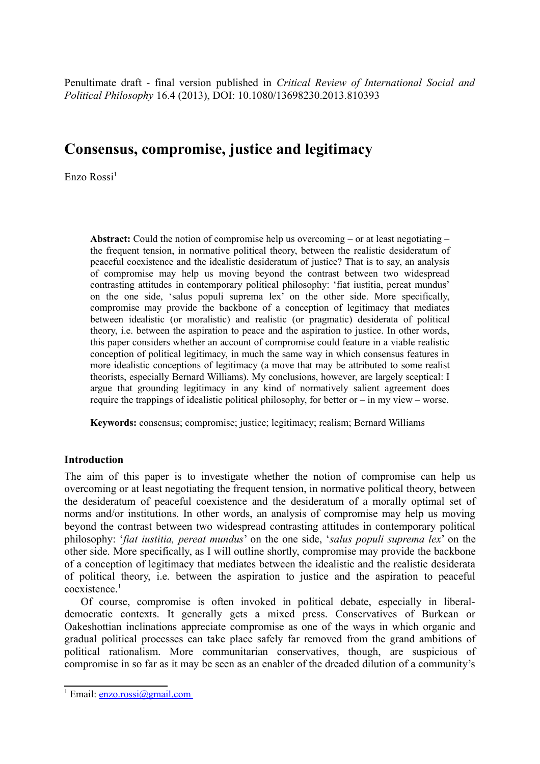Penultimate draft - final version published in *Critical Review of International Social and Political Philosophy* 16.4 (2013), DOI: 10.1080/13698230.2013.810393

# **Consensus, compromise, justice and legitimacy**

Enzo Rossi<sup>[1](#page-0-0)</sup>

**Abstract:** Could the notion of compromise help us overcoming – or at least negotiating – the frequent tension, in normative political theory, between the realistic desideratum of peaceful coexistence and the idealistic desideratum of justice? That is to say, an analysis of compromise may help us moving beyond the contrast between two widespread contrasting attitudes in contemporary political philosophy: 'fiat iustitia, pereat mundus' on the one side, 'salus populi suprema lex' on the other side. More specifically, compromise may provide the backbone of a conception of legitimacy that mediates between idealistic (or moralistic) and realistic (or pragmatic) desiderata of political theory, i.e. between the aspiration to peace and the aspiration to justice. In other words, this paper considers whether an account of compromise could feature in a viable realistic conception of political legitimacy, in much the same way in which consensus features in more idealistic conceptions of legitimacy (a move that may be attributed to some realist theorists, especially Bernard Williams). My conclusions, however, are largely sceptical: I argue that grounding legitimacy in any kind of normatively salient agreement does require the trappings of idealistic political philosophy, for better or – in my view – worse.

**Keywords:** consensus; compromise; justice; legitimacy; realism; Bernard Williams

# **Introduction**

The aim of this paper is to investigate whether the notion of compromise can help us overcoming or at least negotiating the frequent tension, in normative political theory, between the desideratum of peaceful coexistence and the desideratum of a morally optimal set of norms and/or institutions. In other words, an analysis of compromise may help us moving beyond the contrast between two widespread contrasting attitudes in contemporary political philosophy: '*fiat iustitia, pereat mundus*' on the one side, '*salus populi suprema lex*' on the other side. More specifically, as I will outline shortly, compromise may provide the backbone of a conception of legitimacy that mediates between the idealistic and the realistic desiderata of political theory, i.e. between the aspiration to justice and the aspiration to peaceful  $c$ oexistence.<sup>[1](#page-12-0)</sup>

Of course, compromise is often invoked in political debate, especially in liberaldemocratic contexts. It generally gets a mixed press. Conservatives of Burkean or Oakeshottian inclinations appreciate compromise as one of the ways in which organic and gradual political processes can take place safely far removed from the grand ambitions of political rationalism. More communitarian conservatives, though, are suspicious of compromise in so far as it may be seen as an enabler of the dreaded dilution of a community's

<span id="page-0-0"></span><sup>&</sup>lt;sup>1</sup> Email: **enzo.rossi@gmail.com**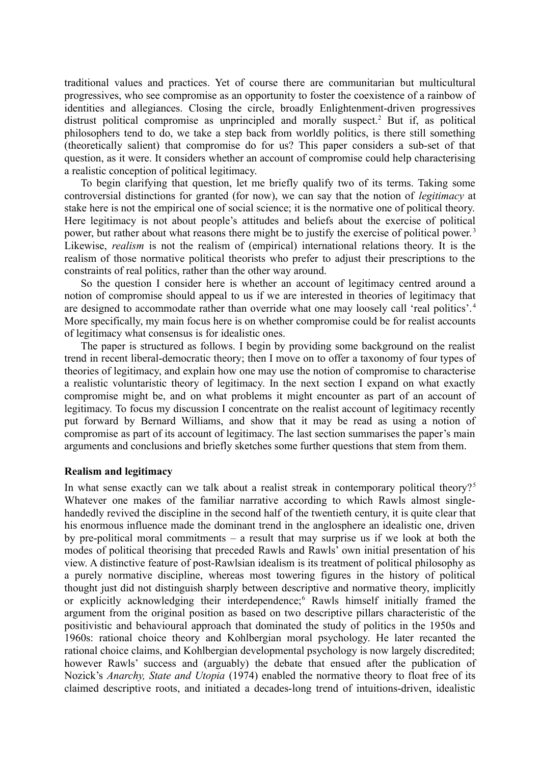traditional values and practices. Yet of course there are communitarian but multicultural progressives, who see compromise as an opportunity to foster the coexistence of a rainbow of identities and allegiances. Closing the circle, broadly Enlightenment-driven progressives distrust political compromise as unprincipled and morally suspect.<sup>[2](#page-12-1)</sup> But if, as political philosophers tend to do, we take a step back from worldly politics, is there still something (theoretically salient) that compromise do for us? This paper considers a sub-set of that question, as it were. It considers whether an account of compromise could help characterising a realistic conception of political legitimacy.

To begin clarifying that question, let me briefly qualify two of its terms. Taking some controversial distinctions for granted (for now), we can say that the notion of *legitimacy* at stake here is not the empirical one of social science; it is the normative one of political theory. Here legitimacy is not about people's attitudes and beliefs about the exercise of political power, but rather about what reasons there might be to justify the exercise of political power. [3](#page-12-2) Likewise, *realism* is not the realism of (empirical) international relations theory. It is the realism of those normative political theorists who prefer to adjust their prescriptions to the constraints of real politics, rather than the other way around.

So the question I consider here is whether an account of legitimacy centred around a notion of compromise should appeal to us if we are interested in theories of legitimacy that are designed to accommodate rather than override what one may loosely call 'real politics'. [4](#page-12-3) More specifically, my main focus here is on whether compromise could be for realist accounts of legitimacy what consensus is for idealistic ones.

The paper is structured as follows. I begin by providing some background on the realist trend in recent liberal-democratic theory; then I move on to offer a taxonomy of four types of theories of legitimacy, and explain how one may use the notion of compromise to characterise a realistic voluntaristic theory of legitimacy. In the next section I expand on what exactly compromise might be, and on what problems it might encounter as part of an account of legitimacy. To focus my discussion I concentrate on the realist account of legitimacy recently put forward by Bernard Williams, and show that it may be read as using a notion of compromise as part of its account of legitimacy. The last section summarises the paper's main arguments and conclusions and briefly sketches some further questions that stem from them.

### **Realism and legitimacy**

In what sense exactly can we talk about a realist streak in contemporary political theory?<sup>[5](#page-12-4)</sup> Whatever one makes of the familiar narrative according to which Rawls almost singlehandedly revived the discipline in the second half of the twentieth century, it is quite clear that his enormous influence made the dominant trend in the anglosphere an idealistic one, driven by pre-political moral commitments – a result that may surprise us if we look at both the modes of political theorising that preceded Rawls and Rawls' own initial presentation of his view. A distinctive feature of post-Rawlsian idealism is its treatment of political philosophy as a purely normative discipline, whereas most towering figures in the history of political thought just did not distinguish sharply between descriptive and normative theory, implicitly or explicitly acknowledging their interdependence;<sup>[6](#page-12-5)</sup> Rawls himself initially framed the argument from the original position as based on two descriptive pillars characteristic of the positivistic and behavioural approach that dominated the study of politics in the 1950s and 1960s: rational choice theory and Kohlbergian moral psychology. He later recanted the rational choice claims, and Kohlbergian developmental psychology is now largely discredited; however Rawls' success and (arguably) the debate that ensued after the publication of Nozick's *Anarchy, State and Utopia* (1974) enabled the normative theory to float free of its claimed descriptive roots, and initiated a decades-long trend of intuitions-driven, idealistic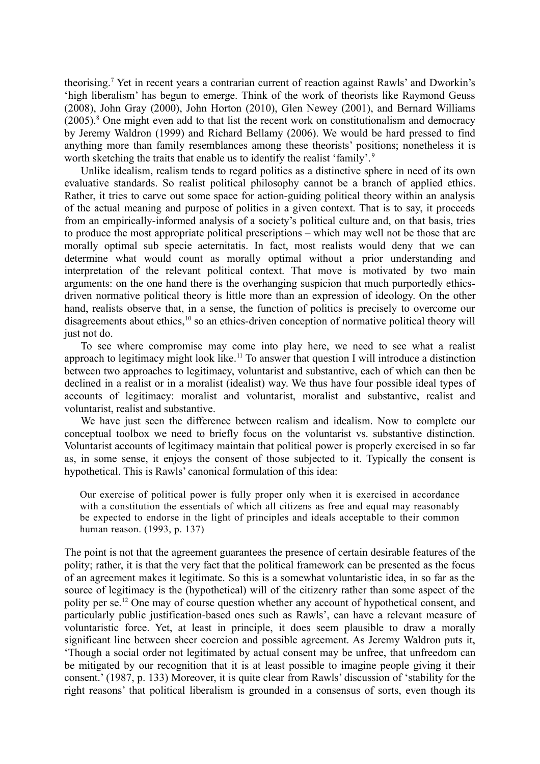theorising.<sup>[7](#page-12-6)</sup> Yet in recent years a contrarian current of reaction against Rawls' and Dworkin's 'high liberalism' has begun to emerge. Think of the work of theorists like Raymond Geuss (2008), John Gray (2000), John Horton (2010), Glen Newey (2001), and Bernard Williams (2005).<sup>[8](#page-12-7)</sup> One might even add to that list the recent work on constitutionalism and democracy by Jeremy Waldron (1999) and Richard Bellamy (2006). We would be hard pressed to find anything more than family resemblances among these theorists' positions; nonetheless it is worth sketching the traits that enable us to identify the realist 'family'.<sup>[9](#page-12-8)</sup>

Unlike idealism, realism tends to regard politics as a distinctive sphere in need of its own evaluative standards. So realist political philosophy cannot be a branch of applied ethics. Rather, it tries to carve out some space for action-guiding political theory within an analysis of the actual meaning and purpose of politics in a given context. That is to say, it proceeds from an empirically-informed analysis of a society's political culture and, on that basis, tries to produce the most appropriate political prescriptions – which may well not be those that are morally optimal sub specie aeternitatis. In fact, most realists would deny that we can determine what would count as morally optimal without a prior understanding and interpretation of the relevant political context. That move is motivated by two main arguments: on the one hand there is the overhanging suspicion that much purportedly ethicsdriven normative political theory is little more than an expression of ideology. On the other hand, realists observe that, in a sense, the function of politics is precisely to overcome our disagreements about ethics,<sup>[10](#page-12-9)</sup> so an ethics-driven conception of normative political theory will just not do.

To see where compromise may come into play here, we need to see what a realist approach to legitimacy might look like.<sup>[11](#page-12-10)</sup> To answer that question I will introduce a distinction between two approaches to legitimacy, voluntarist and substantive, each of which can then be declined in a realist or in a moralist (idealist) way. We thus have four possible ideal types of accounts of legitimacy: moralist and voluntarist, moralist and substantive, realist and voluntarist, realist and substantive.

We have just seen the difference between realism and idealism. Now to complete our conceptual toolbox we need to briefly focus on the voluntarist vs. substantive distinction. Voluntarist accounts of legitimacy maintain that political power is properly exercised in so far as, in some sense, it enjoys the consent of those subjected to it. Typically the consent is hypothetical. This is Rawls' canonical formulation of this idea:

Our exercise of political power is fully proper only when it is exercised in accordance with a constitution the essentials of which all citizens as free and equal may reasonably be expected to endorse in the light of principles and ideals acceptable to their common human reason. (1993, p. 137)

The point is not that the agreement guarantees the presence of certain desirable features of the polity; rather, it is that the very fact that the political framework can be presented as the focus of an agreement makes it legitimate. So this is a somewhat voluntaristic idea, in so far as the source of legitimacy is the (hypothetical) will of the citizenry rather than some aspect of the polity per se.<sup>[12](#page-12-11)</sup> One may of course question whether any account of hypothetical consent, and particularly public justification-based ones such as Rawls', can have a relevant measure of voluntaristic force. Yet, at least in principle, it does seem plausible to draw a morally significant line between sheer coercion and possible agreement. As Jeremy Waldron puts it, 'Though a social order not legitimated by actual consent may be unfree, that unfreedom can be mitigated by our recognition that it is at least possible to imagine people giving it their consent.' (1987, p. 133) Moreover, it is quite clear from Rawls' discussion of 'stability for the right reasons' that political liberalism is grounded in a consensus of sorts, even though its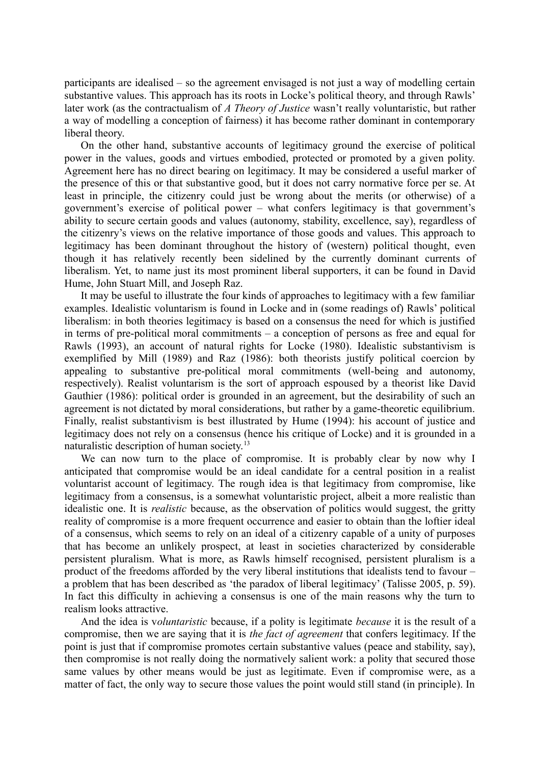participants are idealised – so the agreement envisaged is not just a way of modelling certain substantive values. This approach has its roots in Locke's political theory, and through Rawls' later work (as the contractualism of *A Theory of Justice* wasn't really voluntaristic, but rather a way of modelling a conception of fairness) it has become rather dominant in contemporary liberal theory.

On the other hand, substantive accounts of legitimacy ground the exercise of political power in the values, goods and virtues embodied, protected or promoted by a given polity. Agreement here has no direct bearing on legitimacy. It may be considered a useful marker of the presence of this or that substantive good, but it does not carry normative force per se. At least in principle, the citizenry could just be wrong about the merits (or otherwise) of a government's exercise of political power – what confers legitimacy is that government's ability to secure certain goods and values (autonomy, stability, excellence, say), regardless of the citizenry's views on the relative importance of those goods and values. This approach to legitimacy has been dominant throughout the history of (western) political thought, even though it has relatively recently been sidelined by the currently dominant currents of liberalism. Yet, to name just its most prominent liberal supporters, it can be found in David Hume, John Stuart Mill, and Joseph Raz.

It may be useful to illustrate the four kinds of approaches to legitimacy with a few familiar examples. Idealistic voluntarism is found in Locke and in (some readings of) Rawls' political liberalism: in both theories legitimacy is based on a consensus the need for which is justified in terms of pre-political moral commitments – a conception of persons as free and equal for Rawls (1993), an account of natural rights for Locke (1980). Idealistic substantivism is exemplified by Mill (1989) and Raz (1986): both theorists justify political coercion by appealing to substantive pre-political moral commitments (well-being and autonomy, respectively). Realist voluntarism is the sort of approach espoused by a theorist like David Gauthier (1986): political order is grounded in an agreement, but the desirability of such an agreement is not dictated by moral considerations, but rather by a game-theoretic equilibrium. Finally, realist substantivism is best illustrated by Hume (1994): his account of justice and legitimacy does not rely on a consensus (hence his critique of Locke) and it is grounded in a naturalistic description of human society.<sup>[13](#page-12-12)</sup>

We can now turn to the place of compromise. It is probably clear by now why I anticipated that compromise would be an ideal candidate for a central position in a realist voluntarist account of legitimacy. The rough idea is that legitimacy from compromise, like legitimacy from a consensus, is a somewhat voluntaristic project, albeit a more realistic than idealistic one. It is *realistic* because, as the observation of politics would suggest, the gritty reality of compromise is a more frequent occurrence and easier to obtain than the loftier ideal of a consensus, which seems to rely on an ideal of a citizenry capable of a unity of purposes that has become an unlikely prospect, at least in societies characterized by considerable persistent pluralism. What is more, as Rawls himself recognised, persistent pluralism is a product of the freedoms afforded by the very liberal institutions that idealists tend to favour – a problem that has been described as 'the paradox of liberal legitimacy' (Talisse 2005, p. 59). In fact this difficulty in achieving a consensus is one of the main reasons why the turn to realism looks attractive.

And the idea is v*oluntaristic* because, if a polity is legitimate *because* it is the result of a compromise, then we are saying that it is *the fact of agreement* that confers legitimacy. If the point is just that if compromise promotes certain substantive values (peace and stability, say), then compromise is not really doing the normatively salient work: a polity that secured those same values by other means would be just as legitimate. Even if compromise were, as a matter of fact, the only way to secure those values the point would still stand (in principle). In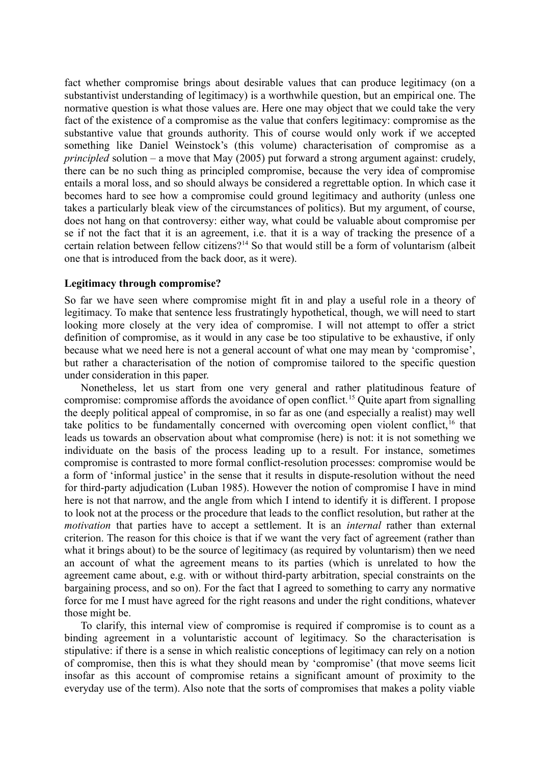fact whether compromise brings about desirable values that can produce legitimacy (on a substantivist understanding of legitimacy) is a worthwhile question, but an empirical one. The normative question is what those values are. Here one may object that we could take the very fact of the existence of a compromise as the value that confers legitimacy: compromise as the substantive value that grounds authority. This of course would only work if we accepted something like Daniel Weinstock's (this volume) characterisation of compromise as a *principled* solution – a move that May (2005) put forward a strong argument against: crudely, there can be no such thing as principled compromise, because the very idea of compromise entails a moral loss, and so should always be considered a regrettable option. In which case it becomes hard to see how a compromise could ground legitimacy and authority (unless one takes a particularly bleak view of the circumstances of politics). But my argument, of course, does not hang on that controversy: either way, what could be valuable about compromise per se if not the fact that it is an agreement, i.e. that it is a way of tracking the presence of a certain relation between fellow citizens?[14](#page-12-13) So that would still be a form of voluntarism (albeit one that is introduced from the back door, as it were).

# **Legitimacy through compromise?**

So far we have seen where compromise might fit in and play a useful role in a theory of legitimacy. To make that sentence less frustratingly hypothetical, though, we will need to start looking more closely at the very idea of compromise. I will not attempt to offer a strict definition of compromise, as it would in any case be too stipulative to be exhaustive, if only because what we need here is not a general account of what one may mean by 'compromise', but rather a characterisation of the notion of compromise tailored to the specific question under consideration in this paper.

Nonetheless, let us start from one very general and rather platitudinous feature of compromise: compromise affords the avoidance of open conflict.<sup>[15](#page-12-14)</sup> Quite apart from signalling the deeply political appeal of compromise, in so far as one (and especially a realist) may well take politics to be fundamentally concerned with overcoming open violent conflict.<sup>[16](#page-12-15)</sup> that leads us towards an observation about what compromise (here) is not: it is not something we individuate on the basis of the process leading up to a result. For instance, sometimes compromise is contrasted to more formal conflict-resolution processes: compromise would be a form of 'informal justice' in the sense that it results in dispute-resolution without the need for third-party adjudication (Luban 1985). However the notion of compromise I have in mind here is not that narrow, and the angle from which I intend to identify it is different. I propose to look not at the process or the procedure that leads to the conflict resolution, but rather at the *motivation* that parties have to accept a settlement. It is an *internal* rather than external criterion. The reason for this choice is that if we want the very fact of agreement (rather than what it brings about) to be the source of legitimacy (as required by voluntarism) then we need an account of what the agreement means to its parties (which is unrelated to how the agreement came about, e.g. with or without third-party arbitration, special constraints on the bargaining process, and so on). For the fact that I agreed to something to carry any normative force for me I must have agreed for the right reasons and under the right conditions, whatever those might be.

To clarify, this internal view of compromise is required if compromise is to count as a binding agreement in a voluntaristic account of legitimacy. So the characterisation is stipulative: if there is a sense in which realistic conceptions of legitimacy can rely on a notion of compromise, then this is what they should mean by 'compromise' (that move seems licit insofar as this account of compromise retains a significant amount of proximity to the everyday use of the term). Also note that the sorts of compromises that makes a polity viable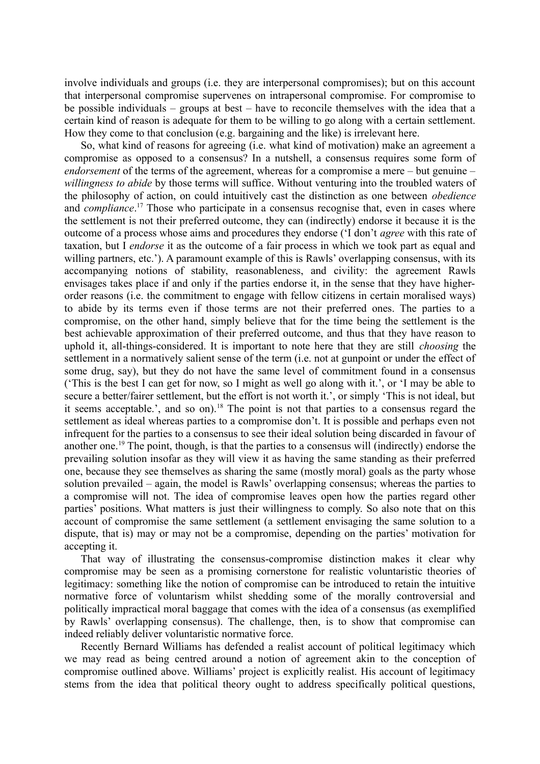involve individuals and groups (i.e. they are interpersonal compromises); but on this account that interpersonal compromise supervenes on intrapersonal compromise. For compromise to be possible individuals – groups at best – have to reconcile themselves with the idea that a certain kind of reason is adequate for them to be willing to go along with a certain settlement. How they come to that conclusion (e.g. bargaining and the like) is irrelevant here.

So, what kind of reasons for agreeing (i.e. what kind of motivation) make an agreement a compromise as opposed to a consensus? In a nutshell, a consensus requires some form of *endorsement* of the terms of the agreement, whereas for a compromise a mere – but genuine – *willingness to abide* by those terms will suffice. Without venturing into the troubled waters of the philosophy of action, on could intuitively cast the distinction as one between *obedience* and *compliance*.<sup>[17](#page-12-16)</sup> Those who participate in a consensus recognise that, even in cases where the settlement is not their preferred outcome, they can (indirectly) endorse it because it is the outcome of a process whose aims and procedures they endorse ('I don't *agree* with this rate of taxation, but I *endorse* it as the outcome of a fair process in which we took part as equal and willing partners, etc.'). A paramount example of this is Rawls' overlapping consensus, with its accompanying notions of stability, reasonableness, and civility: the agreement Rawls envisages takes place if and only if the parties endorse it, in the sense that they have higherorder reasons (i.e. the commitment to engage with fellow citizens in certain moralised ways) to abide by its terms even if those terms are not their preferred ones. The parties to a compromise, on the other hand, simply believe that for the time being the settlement is the best achievable approximation of their preferred outcome, and thus that they have reason to uphold it, all-things-considered. It is important to note here that they are still *choosing* the settlement in a normatively salient sense of the term (i.e. not at gunpoint or under the effect of some drug, say), but they do not have the same level of commitment found in a consensus ('This is the best I can get for now, so I might as well go along with it.', or 'I may be able to secure a better/fairer settlement, but the effort is not worth it.', or simply 'This is not ideal, but it seems acceptable.', and so on).<sup>[18](#page-12-17)</sup> The point is not that parties to a consensus regard the settlement as ideal whereas parties to a compromise don't. It is possible and perhaps even not infrequent for the parties to a consensus to see their ideal solution being discarded in favour of another one.[19](#page-12-18) The point, though, is that the parties to a consensus will (indirectly) endorse the prevailing solution insofar as they will view it as having the same standing as their preferred one, because they see themselves as sharing the same (mostly moral) goals as the party whose solution prevailed – again, the model is Rawls' overlapping consensus; whereas the parties to a compromise will not. The idea of compromise leaves open how the parties regard other parties' positions. What matters is just their willingness to comply. So also note that on this account of compromise the same settlement (a settlement envisaging the same solution to a dispute, that is) may or may not be a compromise, depending on the parties' motivation for accepting it.

That way of illustrating the consensus-compromise distinction makes it clear why compromise may be seen as a promising cornerstone for realistic voluntaristic theories of legitimacy: something like the notion of compromise can be introduced to retain the intuitive normative force of voluntarism whilst shedding some of the morally controversial and politically impractical moral baggage that comes with the idea of a consensus (as exemplified by Rawls' overlapping consensus). The challenge, then, is to show that compromise can indeed reliably deliver voluntaristic normative force.

Recently Bernard Williams has defended a realist account of political legitimacy which we may read as being centred around a notion of agreement akin to the conception of compromise outlined above. Williams' project is explicitly realist. His account of legitimacy stems from the idea that political theory ought to address specifically political questions,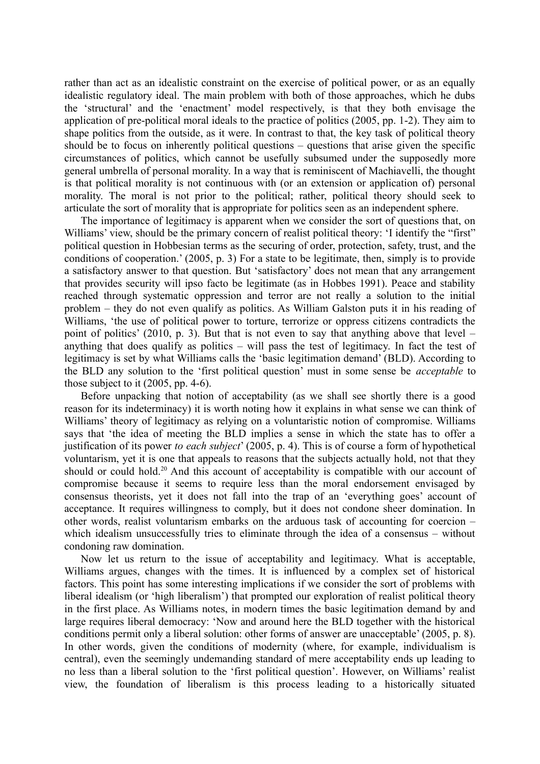rather than act as an idealistic constraint on the exercise of political power, or as an equally idealistic regulatory ideal. The main problem with both of those approaches, which he dubs the 'structural' and the 'enactment' model respectively, is that they both envisage the application of pre-political moral ideals to the practice of politics (2005, pp. 1-2). They aim to shape politics from the outside, as it were. In contrast to that, the key task of political theory should be to focus on inherently political questions – questions that arise given the specific circumstances of politics, which cannot be usefully subsumed under the supposedly more general umbrella of personal morality. In a way that is reminiscent of Machiavelli, the thought is that political morality is not continuous with (or an extension or application of) personal morality. The moral is not prior to the political; rather, political theory should seek to articulate the sort of morality that is appropriate for politics seen as an independent sphere.

The importance of legitimacy is apparent when we consider the sort of questions that, on Williams' view, should be the primary concern of realist political theory: 'I identify the "first" political question in Hobbesian terms as the securing of order, protection, safety, trust, and the conditions of cooperation.' (2005, p. 3) For a state to be legitimate, then, simply is to provide a satisfactory answer to that question. But 'satisfactory' does not mean that any arrangement that provides security will ipso facto be legitimate (as in Hobbes 1991). Peace and stability reached through systematic oppression and terror are not really a solution to the initial problem – they do not even qualify as politics. As William Galston puts it in his reading of Williams, 'the use of political power to torture, terrorize or oppress citizens contradicts the point of politics' (2010, p. 3). But that is not even to say that anything above that level – anything that does qualify as politics – will pass the test of legitimacy. In fact the test of legitimacy is set by what Williams calls the 'basic legitimation demand' (BLD). According to the BLD any solution to the 'first political question' must in some sense be *acceptable* to those subject to it  $(2005, pp. 4-6)$ .

Before unpacking that notion of acceptability (as we shall see shortly there is a good reason for its indeterminacy) it is worth noting how it explains in what sense we can think of Williams' theory of legitimacy as relying on a voluntaristic notion of compromise. Williams says that 'the idea of meeting the BLD implies a sense in which the state has to offer a justification of its power *to each subject*' (2005, p. 4). This is of course a form of hypothetical voluntarism, yet it is one that appeals to reasons that the subjects actually hold, not that they should or could hold.<sup>[20](#page-13-0)</sup> And this account of acceptability is compatible with our account of compromise because it seems to require less than the moral endorsement envisaged by consensus theorists, yet it does not fall into the trap of an 'everything goes' account of acceptance. It requires willingness to comply, but it does not condone sheer domination. In other words, realist voluntarism embarks on the arduous task of accounting for coercion – which idealism unsuccessfully tries to eliminate through the idea of a consensus – without condoning raw domination.

Now let us return to the issue of acceptability and legitimacy. What is acceptable, Williams argues, changes with the times. It is influenced by a complex set of historical factors. This point has some interesting implications if we consider the sort of problems with liberal idealism (or 'high liberalism') that prompted our exploration of realist political theory in the first place. As Williams notes, in modern times the basic legitimation demand by and large requires liberal democracy: 'Now and around here the BLD together with the historical conditions permit only a liberal solution: other forms of answer are unacceptable' (2005, p. 8). In other words, given the conditions of modernity (where, for example, individualism is central), even the seemingly undemanding standard of mere acceptability ends up leading to no less than a liberal solution to the 'first political question'. However, on Williams' realist view, the foundation of liberalism is this process leading to a historically situated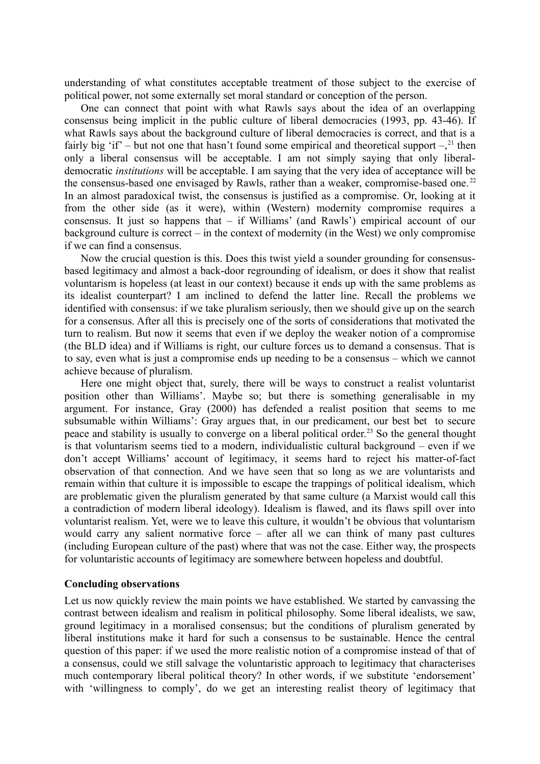understanding of what constitutes acceptable treatment of those subject to the exercise of political power, not some externally set moral standard or conception of the person.

One can connect that point with what Rawls says about the idea of an overlapping consensus being implicit in the public culture of liberal democracies (1993, pp. 43-46). If what Rawls says about the background culture of liberal democracies is correct, and that is a fairly big 'if' – but not one that hasn't found some empirical and theoretical support  $-z^{21}$  $-z^{21}$  $-z^{21}$  then only a liberal consensus will be acceptable. I am not simply saying that only liberaldemocratic *institutions* will be acceptable. I am saying that the very idea of acceptance will be the consensus-based one envisaged by Rawls, rather than a weaker, compromise-based one.<sup>[22](#page-13-2)</sup> In an almost paradoxical twist, the consensus is justified as a compromise. Or, looking at it from the other side (as it were), within (Western) modernity compromise requires a consensus. It just so happens that – if Williams' (and Rawls') empirical account of our background culture is correct – in the context of modernity (in the West) we only compromise if we can find a consensus.

Now the crucial question is this. Does this twist yield a sounder grounding for consensusbased legitimacy and almost a back-door regrounding of idealism, or does it show that realist voluntarism is hopeless (at least in our context) because it ends up with the same problems as its idealist counterpart? I am inclined to defend the latter line. Recall the problems we identified with consensus: if we take pluralism seriously, then we should give up on the search for a consensus. After all this is precisely one of the sorts of considerations that motivated the turn to realism. But now it seems that even if we deploy the weaker notion of a compromise (the BLD idea) and if Williams is right, our culture forces us to demand a consensus. That is to say, even what is just a compromise ends up needing to be a consensus – which we cannot achieve because of pluralism.

Here one might object that, surely, there will be ways to construct a realist voluntarist position other than Williams'. Maybe so; but there is something generalisable in my argument. For instance, Gray (2000) has defended a realist position that seems to me subsumable within Williams': Gray argues that, in our predicament, our best bet to secure peace and stability is usually to converge on a liberal political order.<sup>[23](#page-13-3)</sup> So the general thought is that voluntarism seems tied to a modern, individualistic cultural background – even if we don't accept Williams' account of legitimacy, it seems hard to reject his matter-of-fact observation of that connection. And we have seen that so long as we are voluntarists and remain within that culture it is impossible to escape the trappings of political idealism, which are problematic given the pluralism generated by that same culture (a Marxist would call this a contradiction of modern liberal ideology). Idealism is flawed, and its flaws spill over into voluntarist realism. Yet, were we to leave this culture, it wouldn't be obvious that voluntarism would carry any salient normative force – after all we can think of many past cultures (including European culture of the past) where that was not the case. Either way, the prospects for voluntaristic accounts of legitimacy are somewhere between hopeless and doubtful.

### **Concluding observations**

Let us now quickly review the main points we have established. We started by canvassing the contrast between idealism and realism in political philosophy. Some liberal idealists, we saw, ground legitimacy in a moralised consensus; but the conditions of pluralism generated by liberal institutions make it hard for such a consensus to be sustainable. Hence the central question of this paper: if we used the more realistic notion of a compromise instead of that of a consensus, could we still salvage the voluntaristic approach to legitimacy that characterises much contemporary liberal political theory? In other words, if we substitute 'endorsement' with 'willingness to comply', do we get an interesting realist theory of legitimacy that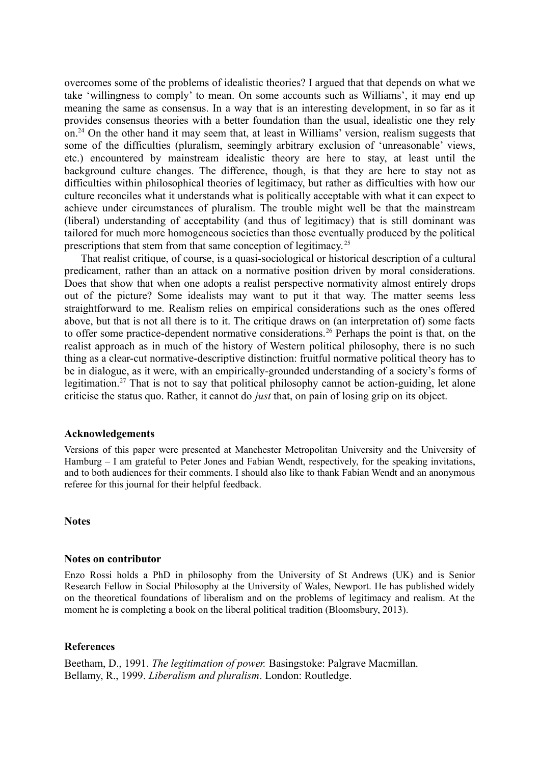overcomes some of the problems of idealistic theories? I argued that that depends on what we take 'willingness to comply' to mean. On some accounts such as Williams', it may end up meaning the same as consensus. In a way that is an interesting development, in so far as it provides consensus theories with a better foundation than the usual, idealistic one they rely on.<sup>[24](#page-13-4)</sup> On the other hand it may seem that, at least in Williams' version, realism suggests that some of the difficulties (pluralism, seemingly arbitrary exclusion of 'unreasonable' views, etc.) encountered by mainstream idealistic theory are here to stay, at least until the background culture changes. The difference, though, is that they are here to stay not as difficulties within philosophical theories of legitimacy, but rather as difficulties with how our culture reconciles what it understands what is politically acceptable with what it can expect to achieve under circumstances of pluralism. The trouble might well be that the mainstream (liberal) understanding of acceptability (and thus of legitimacy) that is still dominant was tailored for much more homogeneous societies than those eventually produced by the political prescriptions that stem from that same conception of legitimacy. [25](#page-13-5)

That realist critique, of course, is a quasi-sociological or historical description of a cultural predicament, rather than an attack on a normative position driven by moral considerations. Does that show that when one adopts a realist perspective normativity almost entirely drops out of the picture? Some idealists may want to put it that way. The matter seems less straightforward to me. Realism relies on empirical considerations such as the ones offered above, but that is not all there is to it. The critique draws on (an interpretation of) some facts to offer some practice-dependent normative considerations.<sup>[26](#page-13-6)</sup> Perhaps the point is that, on the realist approach as in much of the history of Western political philosophy, there is no such thing as a clear-cut normative-descriptive distinction: fruitful normative political theory has to be in dialogue, as it were, with an empirically-grounded understanding of a society's forms of legitimation.<sup>[27](#page-13-7)</sup> That is not to say that political philosophy cannot be action-guiding, let alone criticise the status quo. Rather, it cannot do *just* that, on pain of losing grip on its object.

## **Acknowledgements**

Versions of this paper were presented at Manchester Metropolitan University and the University of Hamburg – I am grateful to Peter Jones and Fabian Wendt, respectively, for the speaking invitations, and to both audiences for their comments. I should also like to thank Fabian Wendt and an anonymous referee for this journal for their helpful feedback.

#### **Notes**

#### **Notes on contributor**

Enzo Rossi holds a PhD in philosophy from the University of St Andrews (UK) and is Senior Research Fellow in Social Philosophy at the University of Wales, Newport. He has published widely on the theoretical foundations of liberalism and on the problems of legitimacy and realism. At the moment he is completing a book on the liberal political tradition (Bloomsbury, 2013).

#### **References**

Beetham, D., 1991. *The legitimation of power.* Basingstoke: Palgrave Macmillan. Bellamy, R., 1999. *Liberalism and pluralism*. London: Routledge.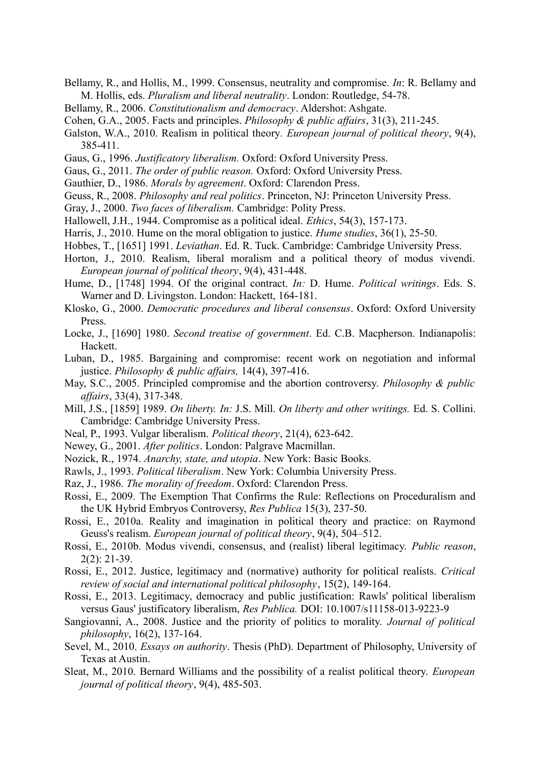- Bellamy, R., and Hollis, M., 1999. Consensus, neutrality and compromise. *In*: R. Bellamy and M. Hollis, eds. *Pluralism and liberal neutrality*. London: Routledge, 54-78.
- Bellamy, R., 2006. *Constitutionalism and democracy*. Aldershot: Ashgate.
- Cohen, G.A., 2005. Facts and principles. *Philosophy & public affairs*, 31(3), 211-245.
- Galston, W.A., 2010. Realism in political theory*. European journal of political theory*, 9(4), 385-411.
- Gaus, G., 1996. *Justificatory liberalism.* Oxford: Oxford University Press.
- Gaus, G., 2011. *The order of public reason.* Oxford: Oxford University Press.
- Gauthier, D., 1986. *Morals by agreement*. Oxford: Clarendon Press.
- Geuss, R., 2008. *Philosophy and real politics*. Princeton, NJ: Princeton University Press.
- Gray, J., 2000. *Two faces of liberalism.* Cambridge: Polity Press.
- Hallowell, J.H., 1944. Compromise as a political ideal. *Ethics*, 54(3), 157-173.
- Harris, J., 2010. Hume on the moral obligation to justice. *Hume studies*, 36(1), 25-50.
- Hobbes, T., [1651] 1991. *Leviathan*. Ed. R. Tuck. Cambridge: Cambridge University Press.
- Horton, J., 2010. Realism, liberal moralism and a political theory of modus vivendi. *European journal of political theory*, 9(4), 431-448.
- Hume, D., [1748] 1994. Of the original contract. *In:* D. Hume. *Political writings*. Eds. S. Warner and D. Livingston. London: Hackett, 164-181.
- Klosko, G., 2000. *Democratic procedures and liberal consensus*. Oxford: Oxford University Press.
- Locke, J., [1690] 1980. *Second treatise of government*. Ed. C.B. Macpherson. Indianapolis: Hackett.
- Luban, D., 1985. Bargaining and compromise: recent work on negotiation and informal justice. *Philosophy & public affairs,* 14(4), 397-416.
- May, S.C., 2005. Principled compromise and the abortion controversy. *Philosophy & public affairs*, 33(4), 317-348.
- Mill, J.S., [1859] 1989. *On liberty. In:* J.S. Mill. *On liberty and other writings.* Ed. S. Collini. Cambridge: Cambridge University Press.
- Neal, P., 1993. Vulgar liberalism. *Political theory*, 21(4), 623-642.
- Newey, G., 2001. *After politics*. London: Palgrave Macmillan.
- Nozick, R., 1974. *Anarchy, state, and utopia*. New York: Basic Books.
- Rawls, J., 1993. *Political liberalism*. New York: Columbia University Press.
- Raz, J., 1986. *The morality of freedom*. Oxford: Clarendon Press.
- Rossi, E., 2009. The Exemption That Confirms the Rule: Reflections on Proceduralism and the UK Hybrid Embryos Controversy, *Res Publica* 15(3), 237-50.
- Rossi, E., 2010a. Reality and imagination in political theory and practice: on Raymond Geuss's realism. *European journal of political theory*, 9(4), 504–512.
- Rossi, E., 2010b. Modus vivendi, consensus, and (realist) liberal legitimacy. *Public reason*, 2(2): 21-39.
- Rossi, E., 2012. Justice, legitimacy and (normative) authority for political realists. *Critical review of social and international political philosophy*, 15(2), 149-164.
- Rossi, E., 2013. Legitimacy, democracy and public justification: Rawls' political liberalism versus Gaus' justificatory liberalism, *Res Publica.* DOI: 10.1007/s11158-013-9223-9
- Sangiovanni, A., 2008. Justice and the priority of politics to morality. *Journal of political philosophy*, 16(2), 137-164.
- Sevel, M., 2010. *Essays on authority*. Thesis (PhD). Department of Philosophy, University of Texas at Austin.
- Sleat, M., 2010. Bernard Williams and the possibility of a realist political theory. *European journal of political theory*, 9(4), 485-503.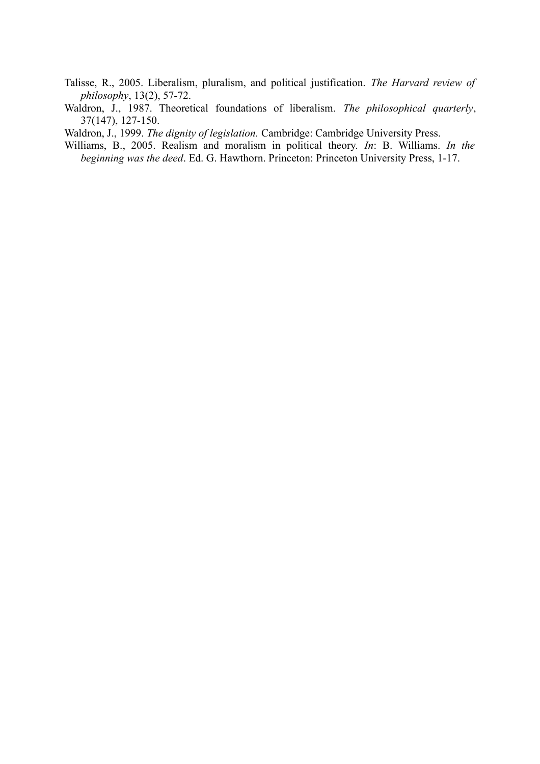Talisse, R., 2005. Liberalism, pluralism, and political justification. *The Harvard review of philosophy*, 13(2), 57-72.

Waldron, J., 1987. Theoretical foundations of liberalism. *The philosophical quarterly*, 37(147), 127-150.

Waldron, J., 1999. *The dignity of legislation.* Cambridge: Cambridge University Press.

Williams, B., 2005. Realism and moralism in political theory. *In*: B. Williams. *In the beginning was the deed*. Ed. G. Hawthorn. Princeton: Princeton University Press, 1-17.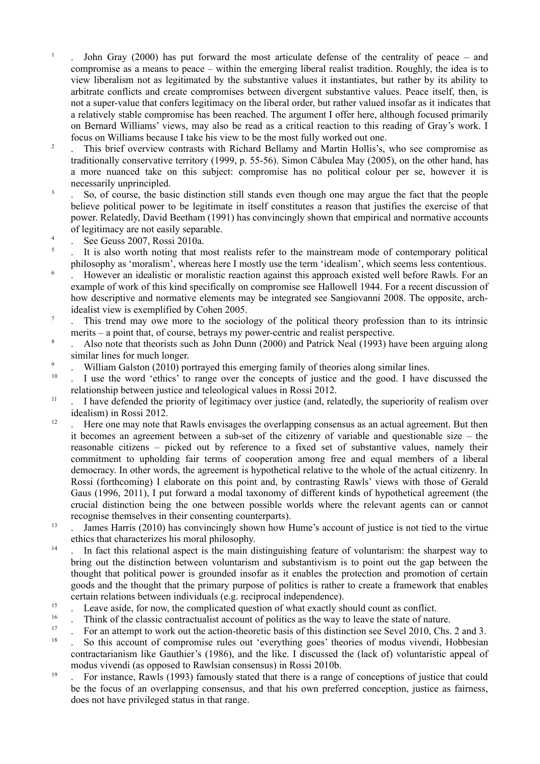- <span id="page-12-0"></span>1 . John Gray (2000) has put forward the most articulate defense of the centrality of peace – and compromise as a means to peace – within the emerging liberal realist tradition. Roughly, the idea is to view liberalism not as legitimated by the substantive values it instantiates, but rather by its ability to arbitrate conflicts and create compromises between divergent substantive values. Peace itself, then, is not a super-value that confers legitimacy on the liberal order, but rather valued insofar as it indicates that a relatively stable compromise has been reached. The argument I offer here, although focused primarily on Bernard Williams' views, may also be read as a critical reaction to this reading of Gray's work. I focus on Williams because I take his view to be the most fully worked out one.
- <span id="page-12-1"></span>2 . This brief overview contrasts with Richard Bellamy and Martin Hollis's, who see compromise as traditionally conservative territory (1999, p. 55-56). Simon Cǎbulea May (2005), on the other hand, has a more nuanced take on this subject: compromise has no political colour per se, however it is necessarily unprincipled.
- <span id="page-12-2"></span>3 . So, of course, the basic distinction still stands even though one may argue the fact that the people believe political power to be legitimate in itself constitutes a reason that justifies the exercise of that power. Relatedly, David Beetham (1991) has convincingly shown that empirical and normative accounts of legitimacy are not easily separable.
- <span id="page-12-3"></span>4 . See Geuss 2007, Rossi 2010a.
- <span id="page-12-4"></span>5 . It is also worth noting that most realists refer to the mainstream mode of contemporary political philosophy as 'moralism', whereas here I mostly use the term 'idealism', which seems less contentious.
- <span id="page-12-5"></span>6 . However an idealistic or moralistic reaction against this approach existed well before Rawls. For an example of work of this kind specifically on compromise see Hallowell 1944. For a recent discussion of how descriptive and normative elements may be integrated see Sangiovanni 2008. The opposite, archidealist view is exemplified by Cohen 2005.
- <span id="page-12-6"></span>7 . This trend may owe more to the sociology of the political theory profession than to its intrinsic merits – a point that, of course, betrays my power-centric and realist perspective.
- <span id="page-12-7"></span>8 . Also note that theorists such as John Dunn (2000) and Patrick Neal (1993) have been arguing along similar lines for much longer.
- <span id="page-12-8"></span>9 . William Galston (2010) portrayed this emerging family of theories along similar lines.
- <span id="page-12-9"></span>10 . I use the word 'ethics' to range over the concepts of justice and the good. I have discussed the relationship between justice and teleological values in Rossi 2012.
- <span id="page-12-10"></span>11 . I have defended the priority of legitimacy over justice (and, relatedly, the superiority of realism over idealism) in Rossi 2012.
- <span id="page-12-11"></span>12 . Here one may note that Rawls envisages the overlapping consensus as an actual agreement. But then it becomes an agreement between a sub-set of the citizenry of variable and questionable size – the reasonable citizens – picked out by reference to a fixed set of substantive values, namely their commitment to upholding fair terms of cooperation among free and equal members of a liberal democracy. In other words, the agreement is hypothetical relative to the whole of the actual citizenry. In Rossi (forthcoming) I elaborate on this point and, by contrasting Rawls' views with those of Gerald Gaus (1996, 2011), I put forward a modal taxonomy of different kinds of hypothetical agreement (the crucial distinction being the one between possible worlds where the relevant agents can or cannot recognise themselves in their consenting counterparts).
- <span id="page-12-12"></span>13 . James Harris (2010) has convincingly shown how Hume's account of justice is not tied to the virtue ethics that characterizes his moral philosophy.
- <span id="page-12-13"></span>14 . In fact this relational aspect is the main distinguishing feature of voluntarism: the sharpest way to bring out the distinction between voluntarism and substantivism is to point out the gap between the thought that political power is grounded insofar as it enables the protection and promotion of certain goods and the thought that the primary purpose of politics is rather to create a framework that enables certain relations between individuals (e.g. reciprocal independence).
- <span id="page-12-14"></span>15 . Leave aside, for now, the complicated question of what exactly should count as conflict.
- <span id="page-12-15"></span>16 . Think of the classic contractualist account of politics as the way to leave the state of nature.
- <span id="page-12-16"></span>17 . For an attempt to work out the action-theoretic basis of this distinction see Sevel 2010, Chs. 2 and 3.
- <span id="page-12-17"></span>18 . So this account of compromise rules out 'everything goes' theories of modus vivendi, Hobbesian contractarianism like Gauthier's (1986), and the like. I discussed the (lack of) voluntaristic appeal of modus vivendi (as opposed to Rawlsian consensus) in Rossi 2010b.
- <span id="page-12-18"></span>19 . For instance, Rawls (1993) famously stated that there is a range of conceptions of justice that could be the focus of an overlapping consensus, and that his own preferred conception, justice as fairness, does not have privileged status in that range.